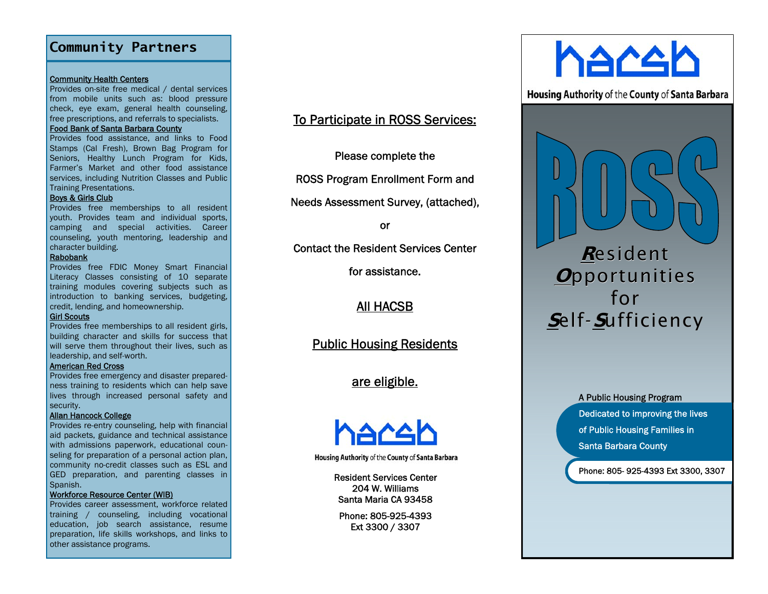### **Community Partners**

#### **Community Health Centers**

Provides on-site free medical / dental services from mobile units such as: blood pressure check, eye exam, general health counseling, free prescriptions, and referrals to specialists.

#### Food Bank of Santa Barbara County

Provides food assistance, and links to Food Stamps (Cal Fresh), Brown Bag Program for Seniors, Healthy Lunch Program for Kids, Farmer's Market and other food assistance services, including Nutrition Classes and Public Training Presentations.

#### Boys & Girls Club

Provides free memberships to all resident youth. Provides team and individual sports, camping and special activities. Career counseling, youth mentoring, leadership and character building.

#### Rabobank

Provides free FDIC Money Smart Financial Literacy Classes consisting of 10 separate training modules covering subjects such as introduction to banking services, budgeting, credit, lending, and homeownership.

#### Girl Scouts

Provides free memberships to all resident girls, building character and skills for success that will serve them throughout their lives, such as leadership, and self-worth.

#### American Red Cross

Provides free emergency and disaster preparedness training to residents which can help save lives through increased personal safety and security.

#### Allan Hancock College

Provides re-entry counseling, help with financial aid packets, guidance and technical assistance with admissions paperwork, educational counseling for preparation of a personal action plan, community no-credit classes such as ESL and GED preparation, and parenting classes in Spanish.

#### Workforce Resource Center (WIB)

Provides career assessment, workforce related training / counseling, including vocational education, job search assistance, resume preparation, life skills workshops, and links to other assistance programs.

# To Participate in ROSS Services:

Please complete the

ROSS Program Enrollment Form and

Needs Assessment Survey, (attached),

or

Contact the Resident Services Center

for assistance.

All HACSB

Public Housing Residents

are eligible.



Housing Authority of the County of Santa Barbara

Resident Services Center 204 W. Williams Santa Maria CA 93458

Phone: 805-925-4393 Ext 3300 / 3307



**Housing Authority of the County of Santa Barbara** 



**Housing Program** Dedicated to improving the lives of Public Housing Families in Santa Barbara County

Phone: 805- 925-4393 Ext 3300, 3307